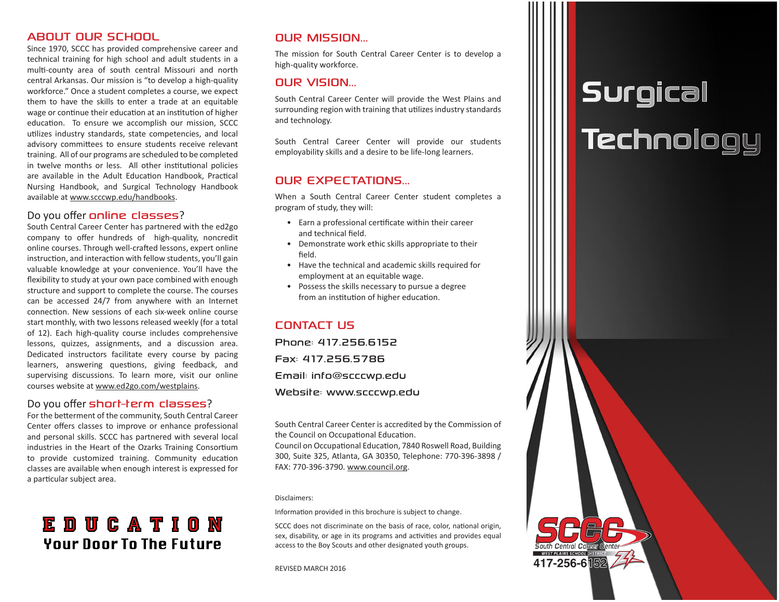#### ABOUT OUR SCHOOL

Since 1970, SCCC has provided comprehensive career and technical training for high school and adult students in a multi-county area of south central Missouri and north central Arkansas. Our mission is "to develop a high-quality workforce." Once a student completes a course, we expect them to have the skills to enter a trade at an equitable wage or continue their education at an institution of higher education. To ensure we accomplish our mission, SCCC utilizes industry standards, state competencies, and local advisory committees to ensure students receive relevant training. All of our programs are scheduled to be completed in twelve months or less. All other institutional policies are available in the Adult Education Handbook, Practical Nursing Handbook, and Surgical Technology Handbook available at www.scccwp.edu/handbooks.

#### Do you offer online classes?

South Central Career Center has partnered with the ed2go company to offer hundreds of high-quality, noncredit online courses. Through well-crafted lessons, expert online instruction, and interaction with fellow students, you'll gain valuable knowledge at your convenience. You'll have the flexibility to study at your own pace combined with enough structure and support to complete the course. The courses can be accessed 24/7 from anywhere with an Internet connection. New sessions of each six-week online course start monthly, with two lessons released weekly (for a total of 12). Each high-quality course includes comprehensive lessons, quizzes, assignments, and a discussion area. Dedicated instructors facilitate every course by pacing learners, answering questions, giving feedback, and supervising discussions. To learn more, visit our online courses website at www.ed2go.com/westplains.

#### Do you offer short-term classes?

For the betterment of the community, South Central Career Center offers classes to improve or enhance professional and personal skills. SCCC has partnered with several local industries in the Heart of the Ozarks Training Consortium to provide customized training. Community education classes are available when enough interest is expressed for a particular subject area.

### EDUCATION **Your Door To The Future**

#### OUR MISSION...

The mission for South Central Career Center is to develop a high-quality workforce.

#### OUR VISION...

South Central Career Center will provide the West Plains and surrounding region with training that utilizes industry standards and technology.

South Central Career Center will provide our students employability skills and a desire to be life-long learners.

#### OUR EXPECTATIONS...

When a South Central Career Center student completes a program of study, they will:

- Earn a professional certificate within their career and technical field.
- Demonstrate work ethic skills appropriate to their field.
- Have the technical and academic skills required for employment at an equitable wage.
- Possess the skills necessary to pursue a degree from an institution of higher education.

#### CONTACT US

Phone: 417.256.6152 Fax: 417.256.5786 Email: info@scccwp.edu Website: www.scccwp.edu

South Central Career Center is accredited by the Commission of the Council on Occupational Education.

Council on Occupational Education, 7840 Roswell Road, Building 300, Suite 325, Atlanta, GA 30350, Telephone: 770-396-3898 / FAX: 770-396-3790. www.council.org.

Disclaimers:

Information provided in this brochure is subject to change.

SCCC does not discriminate on the basis of race, color, national origin, sex, disability, or age in its programs and activities and provides equal access to the Boy Scouts and other designated youth groups.

REVISED MARCH 2016

## **Surgical Technology**

417-256-6152